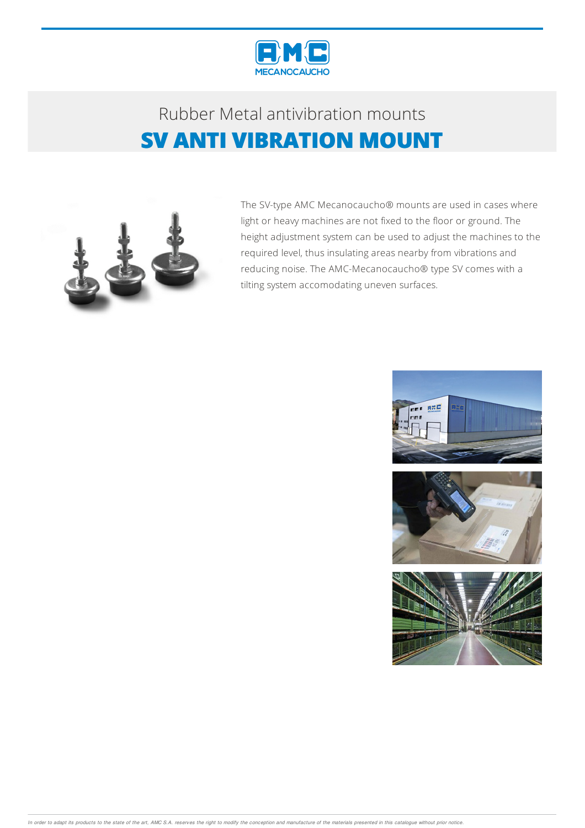

## Rubber Metalantivibration mounts **SV ANTI VIBRATION MOUNT**



The SV-type AMC Mecanocaucho® mounts are used in cases where light or heavy machines are not fixed to the floor or ground. The height adjustment system can be used to adjust the machines to the required level, thus insulating areas nearby from vibrations and reducing noise. The AMC-Mecanocaucho® type SV comes with a tilting system accomodating uneven surfaces.

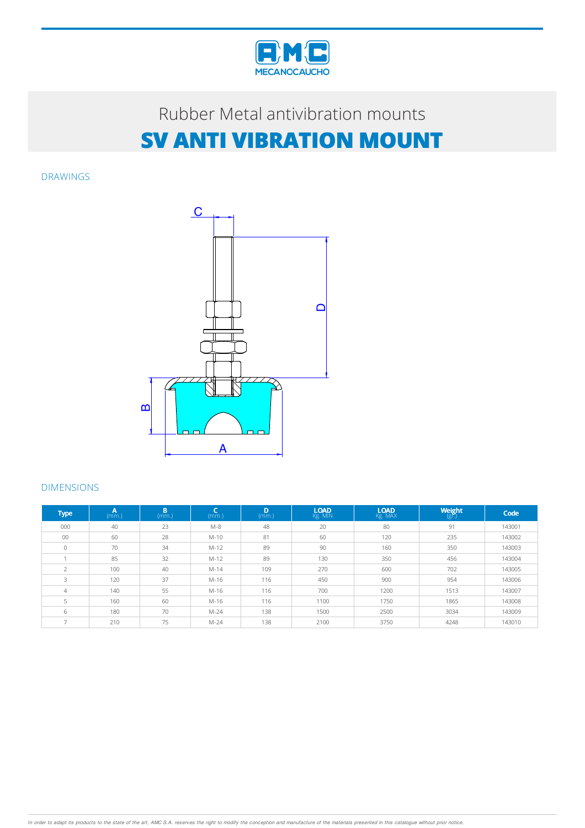

# Rubber Metal antivibration mounts **SV ANTI VIBRATION MOUNT**

DRAWINGS



#### DIMENSIONS

| <b>Type</b>              | A<br>(mm.) | B<br>(mm.) | C<br>(mm.) | D<br>(mm.) | <b>LOAD</b><br>Kg. MIN | <b>LOAD</b><br>Kg. MAX | Weight<br>$(g\zeta)$ | Code   |
|--------------------------|------------|------------|------------|------------|------------------------|------------------------|----------------------|--------|
| 000                      | 40         | 23         | $M-8$      | 48         | 20                     | 80                     | 91                   | 143001 |
| 00                       | 60         | 28         | $M-10$     | 81         | 60                     | 120                    | 235                  | 143002 |
| $\Omega$                 | 70         | 34         | $M-12$     | 89         | 90                     | 160                    | 350                  | 143003 |
|                          | 85         | 32         | $M-12$     | 89         | 130                    | 350                    | 456                  | 143004 |
| $\overline{2}$           | 100        | 40         | $M-14$     | 109        | 270                    | 600                    | 702                  | 143005 |
| 3                        | 120        | 37         | M-16       | 116        | 450                    | 900                    | 954                  | 143006 |
| $\overline{4}$           | 140        | 55         | M-16       | 116        | 700                    | 1200                   | 1513                 | 143007 |
| 5                        | 160        | 60         | M-16       | 116        | 1100                   | 1750                   | 1865                 | 143008 |
| 6                        | 180        | 70         | $M-24$     | 138        | 1500                   | 2500                   | 3034                 | 143009 |
| $\overline{\phantom{a}}$ | 210        | 75         | $M-24$     | 138        | 2100                   | 3750                   | 4248                 | 143010 |